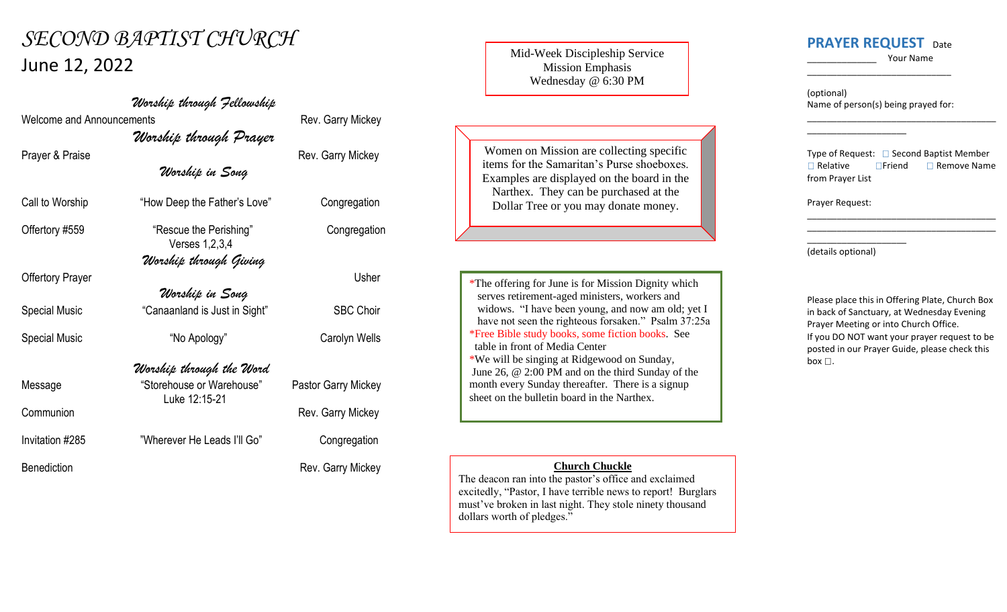## *SECOND BAPTIST CHURCH* June 12, 2022

Welcome and Announcements **Rev.** Garry Mickey

Offertory Prayer Usher

Communion **Communion** Rev. Garry Mickey

Invitation #285 "Wherever He Leads I'll Go" Congregation

*Worship through Prayer* Prayer & Praise **Rev.** Garry Mickey *Worship in Song* Call to Worship "How Deep the Father's Love" Congregation Offertory #559 **"Rescue the Perishing"** Congregation Verses 1,2,3,4

*Worship through Fellowship*

*Worship through Giving*

*Worship in Song* Special Music **Canaanland is Just in Sight** "SBC Choir"

Special Music  $\bullet$  "No Apology" Carolyn Wells

## *Worship through the Word*

Luke 12:15-21

Message "Storehouse or Warehouse" Pastor Garry Mickey

Benediction **Rev. Garry Mickey** 

Mid-Week Discipleship Service Mission Emphasis Wednesday @ 6:30 PM

Women on Mission are collecting specific items for the Samaritan's Purse shoeboxes. Examples are displayed on the board in the Narthex. They can be purchased at the Dollar Tree or you may donate money.

\*The offering for June is for Mission Dignity which serves retirement-aged ministers, workers and widows. "I have been young, and now am old; yet I have not seen the righteous forsaken." Psalm 37:25a \*Free Bible study books, some fiction books. See table in front of Media Center \*We will be singing at Ridgewood on Sunday, June 26, @ 2:00 PM and on the third Sunday of the month every Sunday thereafter. There is a signup sheet on the bulletin board in the Narthex.

## **Church Chuckle**

The deacon ran into the pastor's office and exclaimed excitedly, "Pastor, I have terrible news to report! Burglars must've broken in last night. They stole ninety thousand dollars worth of pledges."

## **PRAYER REQUEST** Date

\_\_\_\_\_\_\_\_\_\_\_\_\_\_ Your Name

\_\_\_\_\_\_\_\_\_\_\_\_\_\_\_\_\_\_\_\_\_\_\_\_\_\_\_\_\_\_\_\_\_\_\_\_\_\_

(optional) Name of person(s) being prayed for:

\_\_\_\_\_\_\_\_\_\_\_\_\_\_\_\_\_\_\_\_

\_\_\_\_\_\_\_\_\_\_\_\_\_\_\_\_\_\_\_\_\_\_\_\_\_\_\_\_\_

Type of Request:  $\Box$  Second Baptist Member  $\Box$  Relative  $\Box$  Friend  $\Box$  Remove Name from Prayer List

\_\_\_\_\_\_\_\_\_\_\_\_\_\_\_\_\_\_\_\_\_\_\_\_\_\_\_\_\_\_\_\_\_\_\_\_\_\_ \_\_\_\_\_\_\_\_\_\_\_\_\_\_\_\_\_\_\_\_\_\_\_\_\_\_\_\_\_\_\_\_\_\_\_\_\_\_

Prayer Request:

\_\_\_\_\_\_\_\_\_\_\_\_\_\_\_\_\_\_\_\_ (details optional)

Please place this in Offering Plate, Church Box in back of Sanctuary, at Wednesday Evening Prayer Meeting or into Church Office. If you DO NOT want your prayer request to be posted in our Prayer Guide, please check this box  $\square$ .